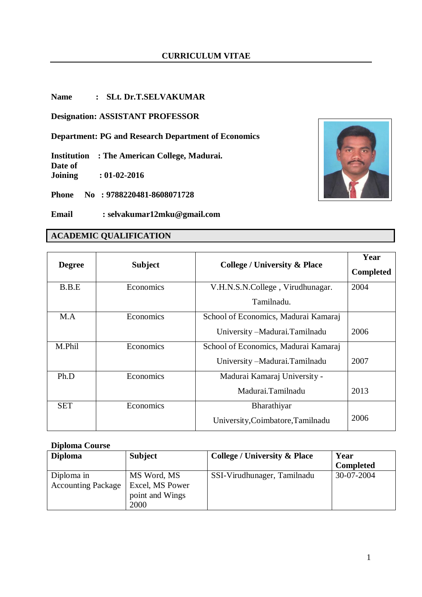### **Name : SLt. Dr.T.SELVAKUMAR**

**Designation: ASSISTANT PROFESSOR**

**Department: PG and Research Department of Economics**

**Institution : The American College, Madurai. Date of Joining : 01-02-2016**

**Phone No : 9788220481-8608071728**

**Email : selvakumar12mku@gmail.com**

# **ACADEMIC QUALIFICATION**

| <b>Degree</b> | <b>Subject</b> | <b>College / University &amp; Place</b> | Year<br><b>Completed</b> |
|---------------|----------------|-----------------------------------------|--------------------------|
| B.B.E         | Economics      | V.H.N.S.N.College, Virudhunagar.        | 2004                     |
|               |                | Tamilnadu.                              |                          |
| MA            | Economics      | School of Economics, Madurai Kamaraj    |                          |
|               |                | University - Madurai. Tamilnadu         | 2006                     |
| M.Phil        | Economics      | School of Economics, Madurai Kamaraj    |                          |
|               |                | University - Madurai. Tamilnadu         | 2007                     |
| Ph.D          | Economics      | Madurai Kamaraj University -            |                          |
|               |                | Madurai.Tamilnadu                       | 2013                     |
| <b>SET</b>    | Economics      | Bharathiyar                             |                          |
|               |                | University, Coimbatore, Tamilnadu       | 2006                     |

#### **Diploma Course**

| <b>Diploma</b>                          | <b>Subject</b>                                            | <b>College / University &amp; Place</b> | Year<br><b>Completed</b> |
|-----------------------------------------|-----------------------------------------------------------|-----------------------------------------|--------------------------|
| Diploma in<br><b>Accounting Package</b> | MS Word, MS<br>Excel, MS Power<br>point and Wings<br>2000 | SSI-Virudhunager, Tamilnadu             | 30-07-2004               |

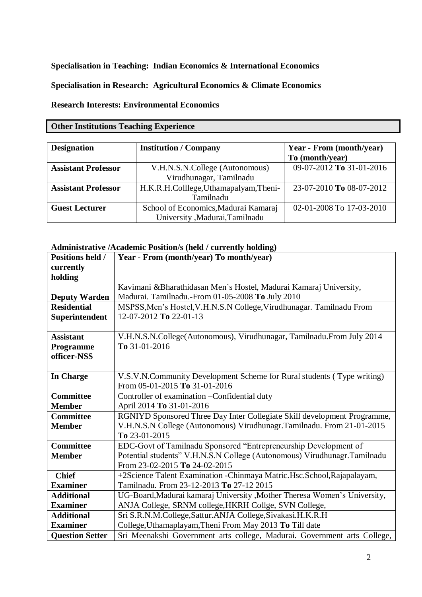**Specialisation in Teaching: Indian Economics & International Economics**

**Specialisation in Research: Agricultural Economics & Climate Economics** 

**Research Interests: Environmental Economics**

## **Other Institutions Teaching Experience**

| <b>Designation</b>         | <b>Institution / Company</b>           | Year - From (month/year) |
|----------------------------|----------------------------------------|--------------------------|
|                            |                                        | To (month/year)          |
| <b>Assistant Professor</b> | V.H.N.S.N.College (Autonomous)         | 09-07-2012 To 31-01-2016 |
|                            | Virudhunagar, Tamilnadu                |                          |
| <b>Assistant Professor</b> | H.K.R.H.Colllege, Uthamapalyam, Theni- | 23-07-2010 To 08-07-2012 |
|                            | Tamilnadu                              |                          |
| <b>Guest Lecturer</b>      | School of Economics, Madurai Kamaraj   | 02-01-2008 To 17-03-2010 |
|                            | University , Madurai, Tamilnadu        |                          |

## **Administrative /Academic Position/s (held / currently holding)**

| <b>Positions held /</b> | Year - From (month/year) To month/year)                                   |
|-------------------------|---------------------------------------------------------------------------|
| currently               |                                                                           |
| holding                 |                                                                           |
|                         | Kavimani &Bharathidasan Men's Hostel, Madurai Kamaraj University,         |
| <b>Deputy Warden</b>    | Madurai. Tamilnadu.-From 01-05-2008 To July 2010                          |
| <b>Residential</b>      | MSPSS, Men's Hostel, V.H.N.S.N College, Virudhunagar. Tamilnadu From      |
| Superintendent          | 12-07-2012 To 22-01-13                                                    |
|                         |                                                                           |
| <b>Assistant</b>        | V.H.N.S.N.College(Autonomous), Virudhunagar, Tamilnadu.From July 2014     |
| Programme               | To $31-01-2016$                                                           |
| officer-NSS             |                                                                           |
|                         |                                                                           |
| In Charge               | V.S.V.N.Community Development Scheme for Rural students (Type writing)    |
|                         | From 05-01-2015 To 31-01-2016                                             |
| <b>Committee</b>        | Controller of examination - Confidential duty                             |
| <b>Member</b>           | April 2014 To 31-01-2016                                                  |
| <b>Committee</b>        | RGNIYD Sponsored Three Day Inter Collegiate Skill development Programme,  |
| <b>Member</b>           | V.H.N.S.N College (Autonomous) Virudhunagr.Tamilnadu. From 21-01-2015     |
|                         | To 23-01-2015                                                             |
| <b>Committee</b>        | EDC-Govt of Tamilnadu Sponsored "Entrepreneurship Development of          |
| <b>Member</b>           | Potential students" V.H.N.S.N College (Autonomous) Virudhunagr.Tamilnadu  |
|                         | From 23-02-2015 To 24-02-2015                                             |
| <b>Chief</b>            | +2Science Talent Examination - Chinmaya Matric. Hsc. School, Rajapalayam, |
| <b>Examiner</b>         | Tamilnadu. From 23-12-2013 To 27-12 2015                                  |
| <b>Additional</b>       | UG-Board, Madurai kamaraj University, Mother Theresa Women's University,  |
| <b>Examiner</b>         | ANJA College, SRNM college, HKRH Collge, SVN College,                     |
| <b>Additional</b>       | Sri S.R.N.M.College, Sattur.ANJA College, Sivakasi.H.K.R.H                |
| <b>Examiner</b>         | College, Uthamaplayam, Theni From May 2013 To Till date                   |
| <b>Ouestion Setter</b>  | Sri Meenakshi Government arts college, Madurai. Government arts College,  |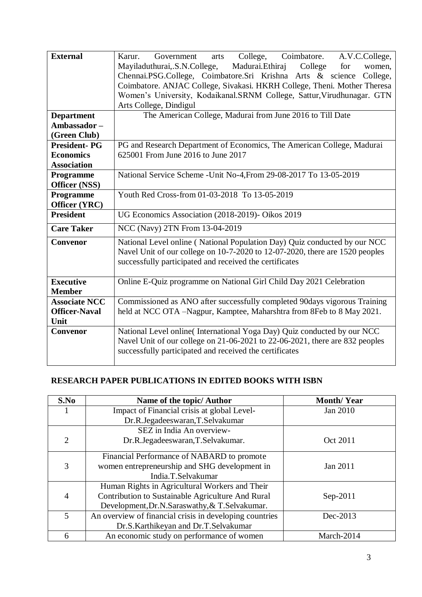| <b>External</b>      | College, Coimbatore. A.V.C.College,<br>Karur.<br>Government<br>arts          |  |  |  |
|----------------------|------------------------------------------------------------------------------|--|--|--|
|                      | Mayiladuthurai, S.N.College,<br>Madurai. Ethiraj<br>College<br>for<br>women, |  |  |  |
|                      | Chennai.PSG.College, Coimbatore.Sri Krishna Arts & science<br>College,       |  |  |  |
|                      | Coimbatore. ANJAC College, Sivakasi. HKRH College, Theni. Mother Theresa     |  |  |  |
|                      | Women's University, Kodaikanal.SRNM College, Sattur, Virudhunagar. GTN       |  |  |  |
|                      | Arts College, Dindigul                                                       |  |  |  |
| <b>Department</b>    | The American College, Madurai from June 2016 to Till Date                    |  |  |  |
| Ambassador-          |                                                                              |  |  |  |
| (Green Club)         |                                                                              |  |  |  |
| <b>President-PG</b>  | PG and Research Department of Economics, The American College, Madurai       |  |  |  |
| <b>Economics</b>     | 625001 From June 2016 to June 2017                                           |  |  |  |
| <b>Association</b>   |                                                                              |  |  |  |
| Programme            | National Service Scheme - Unit No-4, From 29-08-2017 To 13-05-2019           |  |  |  |
| Officer (NSS)        |                                                                              |  |  |  |
| Programme            | Youth Red Cross-from 01-03-2018 To 13-05-2019                                |  |  |  |
| Officer (YRC)        |                                                                              |  |  |  |
| <b>President</b>     | UG Economics Association (2018-2019)- Oikos 2019                             |  |  |  |
| <b>Care Taker</b>    | NCC (Navy) 2TN From 13-04-2019                                               |  |  |  |
| Convenor             | National Level online (National Population Day) Quiz conducted by our NCC    |  |  |  |
|                      | Navel Unit of our college on 10-7-2020 to 12-07-2020, there are 1520 peoples |  |  |  |
|                      | successfully participated and received the certificates                      |  |  |  |
| <b>Executive</b>     |                                                                              |  |  |  |
| <b>Member</b>        | Online E-Quiz programme on National Girl Child Day 2021 Celebration          |  |  |  |
| <b>Associate NCC</b> |                                                                              |  |  |  |
| <b>Officer-Naval</b> | Commissioned as ANO after successfully completed 90days vigorous Training    |  |  |  |
| Unit                 | held at NCC OTA -Nagpur, Kamptee, Maharshtra from 8Feb to 8 May 2021.        |  |  |  |
| Convenor             | National Level online(International Yoga Day) Quiz conducted by our NCC      |  |  |  |
|                      | Navel Unit of our college on 21-06-2021 to 22-06-2021, there are 832 peoples |  |  |  |
|                      | successfully participated and received the certificates                      |  |  |  |
|                      |                                                                              |  |  |  |
|                      |                                                                              |  |  |  |

# **RESEARCH PAPER PUBLICATIONS IN EDITED BOOKS WITH ISBN**

| S.No | Name of the topic/ Author                               | <b>Month/Year</b> |  |
|------|---------------------------------------------------------|-------------------|--|
|      | Impact of Financial crisis at global Level-             | Jan 2010          |  |
|      | Dr.R.Jegadeeswaran,T.Selvakumar                         |                   |  |
|      | SEZ in India An overview-                               |                   |  |
| 2    | Dr.R.Jegadeeswaran,T.Selvakumar.                        | Oct 2011          |  |
|      | Financial Performance of NABARD to promote              |                   |  |
| 3    | women entrepreneurship and SHG development in           | Jan 2011          |  |
|      | India.T.Selvakumar                                      |                   |  |
|      | Human Rights in Agricultural Workers and Their          |                   |  |
| 4    | Contribution to Sustainable Agriculture And Rural       | $Sep-2011$        |  |
|      | Development, Dr.N.Saraswathy, & T.Selvakumar.           |                   |  |
| 5    | An overview of financial crisis in developing countries | Dec-2013          |  |
|      | Dr.S.Karthikeyan and Dr.T.Selvakumar                    |                   |  |
| 6    | An economic study on performance of women               | March-2014        |  |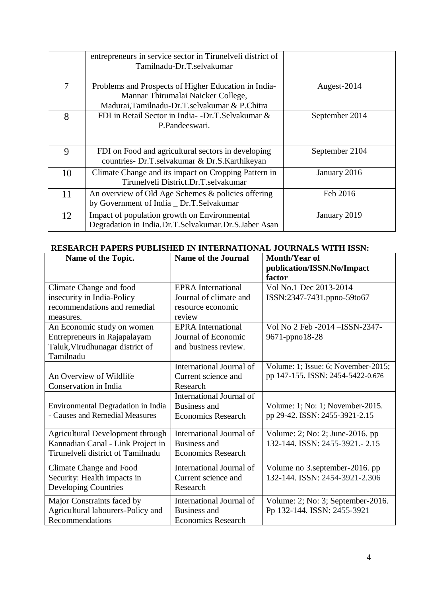|    | entrepreneurs in service sector in Tirunelveli district of                                                                                  |                |
|----|---------------------------------------------------------------------------------------------------------------------------------------------|----------------|
|    | Tamilnadu-Dr.T.selvakumar                                                                                                                   |                |
| 7  | Problems and Prospects of Higher Education in India-<br>Mannar Thirumalai Naicker College,<br>Madurai, Tamilnadu-Dr.T.selvakumar & P.Chitra | Augest-2014    |
| 8  | FDI in Retail Sector in India- -Dr.T.Selvakumar &<br>P.Pandeeswari.                                                                         | September 2014 |
| 9  | FDI on Food and agricultural sectors in developing<br>countries- Dr.T.selvakumar & Dr.S.Karthikeyan                                         | September 2104 |
| 10 | Climate Change and its impact on Cropping Pattern in<br>Tirunelveli District.Dr.T.selvakumar                                                | January 2016   |
| 11 | An overview of Old Age Schemes & policies offering<br>by Government of India _ Dr.T.Selvakumar                                              | Feb 2016       |
| 12 | Impact of population growth on Environmental<br>Degradation in India.Dr.T.Selvakumar.Dr.S.Jaber Asan                                        | January 2019   |

# **RESEARCH PAPERS PUBLISHED IN INTERNATIONAL JOURNALS WITH ISSN:**

| Name of the Topic.                      | <b>Name of the Journal</b> | <b>Month/Year of</b><br>publication/ISSN.No/Impact |
|-----------------------------------------|----------------------------|----------------------------------------------------|
|                                         |                            | factor                                             |
| Climate Change and food                 | <b>EPRA</b> International  | Vol No.1 Dec 2013-2014                             |
| insecurity in India-Policy              | Journal of climate and     | ISSN:2347-7431.ppno-59to67                         |
| recommendations and remedial            | resource economic          |                                                    |
| measures.                               | review                     |                                                    |
| An Economic study on women              | <b>EPRA</b> International  | Vol No 2 Feb -2014 - ISSN-2347-                    |
| Entrepreneurs in Rajapalayam            | Journal of Economic        | 9671-ppno18-28                                     |
| Taluk, Virudhunagar district of         | and business review.       |                                                    |
| Tamilnadu                               |                            |                                                    |
|                                         | International Journal of   | Volume: 1; Issue: 6; November-2015;                |
| An Overview of Wildlife                 | Current science and        | pp 147-155. ISSN: 2454-5422-0.676                  |
| Conservation in India                   | Research                   |                                                    |
|                                         | International Journal of   |                                                    |
| Environmental Degradation in India      | Business and               | Volume: 1; No: 1; November-2015.                   |
| - Causes and Remedial Measures          | <b>Economics Research</b>  | pp 29-42. ISSN: 2455-3921-2.15                     |
|                                         |                            |                                                    |
| <b>Agricultural Development through</b> | International Journal of   | Volume: 2; No: 2; June-2016. pp                    |
| Kannadian Canal - Link Project in       | <b>Business and</b>        | 132-144. ISSN: 2455-3921.-2.15                     |
| Tirunelveli district of Tamilnadu       | <b>Economics Research</b>  |                                                    |
| Climate Change and Food                 | International Journal of   | Volume no 3.september-2016. pp                     |
| Security: Health impacts in             | Current science and        | 132-144. ISSN: 2454-3921-2.306                     |
| <b>Developing Countries</b>             | Research                   |                                                    |
| Major Constraints faced by              | International Journal of   | Volume: 2; No: 3; September-2016.                  |
| Agricultural labourers-Policy and       | <b>Business and</b>        | Pp 132-144. ISSN: 2455-3921                        |
| Recommendations                         | <b>Economics Research</b>  |                                                    |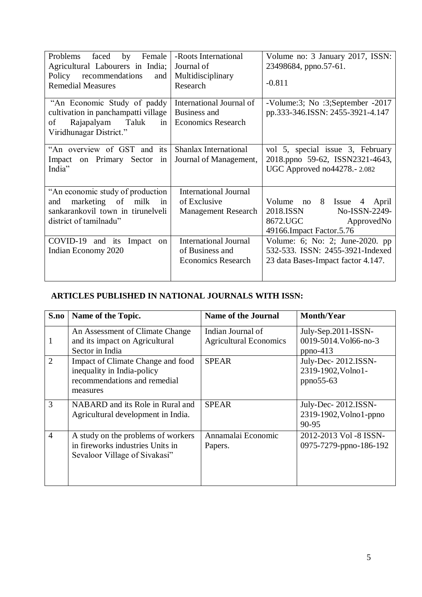| Problems<br>by<br>Female<br>faced<br>Agricultural Labourers in India;<br>recommendations<br>Policy<br>and<br><b>Remedial Measures</b> | -Roots International<br>Journal of<br>Multidisciplinary<br>Research          | Volume no: 3 January 2017, ISSN:<br>23498684, ppno.57-61.<br>$-0.811$                                              |
|---------------------------------------------------------------------------------------------------------------------------------------|------------------------------------------------------------------------------|--------------------------------------------------------------------------------------------------------------------|
| "An Economic Study of paddy<br>cultivation in panchampatti village<br>Rajapalyam Taluk<br>of<br>in<br>Viridhunagar District."         | International Journal of<br>Business and<br><b>Economics Research</b>        | -Volume:3; No :3;September -2017<br>pp.333-346.ISSN: 2455-3921-4.147                                               |
| "An overview of GST and its<br>Impact on Primary Sector<br>in<br>India"                                                               | <b>Shanlax International</b><br>Journal of Management,                       | vol 5, special issue 3, February<br>2018.ppno 59-62, ISSN2321-4643,<br>UGC Approved no44278.-2.082                 |
| "An economic study of production"<br>marketing of milk<br>and<br>in<br>sankarankovil town in tirunelveli<br>district of tamilnadu"    | <b>International Journal</b><br>of Exclusive<br><b>Management Research</b>   | Volume no 8 Issue 4<br>April<br>2018.ISSN<br>No-ISSN-2249-<br>8672.UGC<br>ApprovedNo<br>49166. Impact Factor. 5.76 |
| COVID-19<br>and its<br>Impact<br>$\alpha$<br>Indian Economy 2020                                                                      | <b>International Journal</b><br>of Business and<br><b>Economics Research</b> | Volume: 6; No: 2; June-2020. pp<br>532-533. ISSN: 2455-3921-Indexed<br>23 data Bases-Impact factor 4.147.          |

# **ARTICLES PUBLISHED IN NATIONAL JOURNALS WITH ISSN:**

| S.no           | Name of the Topic.                                                                                          | <b>Name of the Journal</b>                         | <b>Month/Year</b>                                                  |
|----------------|-------------------------------------------------------------------------------------------------------------|----------------------------------------------------|--------------------------------------------------------------------|
| 1              | An Assessment of Climate Change<br>and its impact on Agricultural<br>Sector in India                        | Indian Journal of<br><b>Agricultural Economics</b> | July-Sep. $2011$ - $ISSN$ -<br>0019-5014. Vol66-no-3<br>$ppno-413$ |
| 2              | Impact of Climate Change and food<br>inequality in India-policy<br>recommendations and remedial<br>measures | <b>SPEAR</b>                                       | July-Dec-2012.ISSN-<br>2319-1902, Volno1-<br>$ppno55-63$           |
| 3              | NABARD and its Role in Rural and<br>Agricultural development in India.                                      | <b>SPEAR</b>                                       | July-Dec-2012.ISSN-<br>2319-1902, Volno 1-ppno<br>90-95            |
| $\overline{4}$ | A study on the problems of workers<br>in fireworks industries Units in<br>Sevaloor Village of Sivakasi"     | Annamalai Economic<br>Papers.                      | 2012-2013 Vol -8 ISSN-<br>0975-7279-ppno-186-192                   |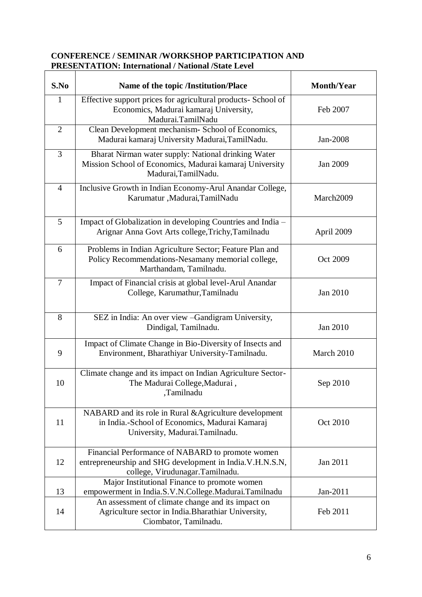## **CONFERENCE / SEMINAR /WORKSHOP PARTICIPATION AND PRESENTATION: International / National /State Level**

| S.No           | Name of the topic /Institution/Place                                                                                                            | <b>Month/Year</b> |
|----------------|-------------------------------------------------------------------------------------------------------------------------------------------------|-------------------|
| 1              | Effective support prices for agricultural products- School of<br>Economics, Madurai kamaraj University,<br>Madurai.TamilNadu                    | Feb 2007          |
| $\overline{2}$ | Clean Development mechanism- School of Economics,<br>Madurai kamaraj University Madurai, TamilNadu.                                             | Jan-2008          |
| 3              | Bharat Nirman water supply: National drinking Water<br>Mission School of Economics, Madurai kamaraj University<br>Madurai, TamilNadu.           | Jan 2009          |
| $\overline{4}$ | Inclusive Growth in Indian Economy-Arul Anandar College,<br>Karumatur , Madurai, TamilNadu                                                      | March2009         |
| 5              | Impact of Globalization in developing Countries and India -<br>Arignar Anna Govt Arts college, Trichy, Tamilnadu                                | April 2009        |
| 6              | Problems in Indian Agriculture Sector; Feature Plan and<br>Policy Recommendations-Nesamany memorial college,<br>Marthandam, Tamilnadu.          | Oct 2009          |
| 7              | Impact of Financial crisis at global level-Arul Anandar<br>College, Karumathur, Tamilnadu                                                       | Jan 2010          |
| 8              | SEZ in India: An over view -Gandigram University,<br>Dindigal, Tamilnadu.                                                                       | Jan 2010          |
| 9              | Impact of Climate Change in Bio-Diversity of Insects and<br>Environment, Bharathiyar University-Tamilnadu.                                      | March 2010        |
| 10             | Climate change and its impact on Indian Agriculture Sector-<br>The Madurai College, Madurai,<br>,Tamilnadu                                      | Sep 2010          |
| 11             | NABARD and its role in Rural & Agriculture development<br>in India.-School of Economics, Madurai Kamaraj<br>University, Madurai.Tamilnadu.      | Oct 2010          |
| 12             | Financial Performance of NABARD to promote women<br>entrepreneurship and SHG development in India.V.H.N.S.N,<br>college, Virudunagar.Tamilnadu. | Jan 2011          |
| 13             | Major Institutional Finance to promote women<br>empowerment in India.S.V.N.College.Madurai.Tamilnadu                                            | Jan-2011          |
| 14             | An assessment of climate change and its impact on<br>Agriculture sector in India. Bharathiar University,<br>Ciombator, Tamilnadu.               | Feb 2011          |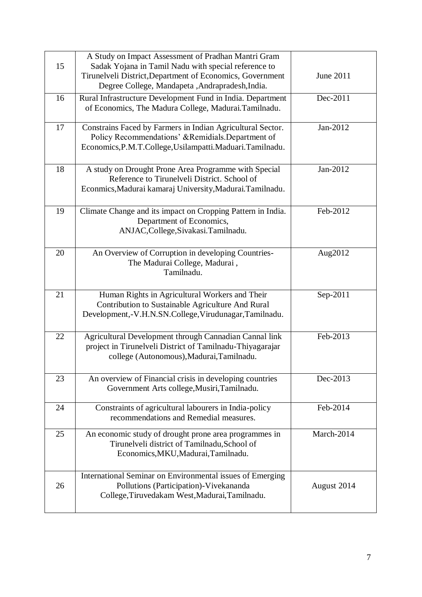| 15 | A Study on Impact Assessment of Pradhan Mantri Gram<br>Sadak Yojana in Tamil Nadu with special reference to                                                                  |                  |
|----|------------------------------------------------------------------------------------------------------------------------------------------------------------------------------|------------------|
|    | Tirunelveli District, Department of Economics, Government<br>Degree College, Mandapeta , Andrapradesh, India.                                                                | <b>June 2011</b> |
| 16 | Rural Infrastructure Development Fund in India. Department<br>of Economics, The Madura College, Madurai.Tamilnadu.                                                           | Dec-2011         |
| 17 | Constrains Faced by Farmers in Indian Agricultural Sector.<br>Policy Recommendations' &Remidials.Department of<br>Economics, P.M.T.College, Usilampatti. Maduari. Tamilnadu. | Jan-2012         |
| 18 | A study on Drought Prone Area Programme with Special<br>Reference to Tirunelveli District. School of<br>Econmics, Madurai kamaraj University, Madurai. Tamilnadu.            | Jan-2012         |
| 19 | Climate Change and its impact on Cropping Pattern in India.<br>Department of Economics,<br>ANJAC, College, Sivakasi. Tamilnadu.                                              | Feb-2012         |
| 20 | An Overview of Corruption in developing Countries-<br>The Madurai College, Madurai,<br>Tamilnadu.                                                                            | Aug2012          |
| 21 | Human Rights in Agricultural Workers and Their<br>Contribution to Sustainable Agriculture And Rural<br>Development,-V.H.N.SN.College, Virudunagar, Tamilnadu.                | Sep-2011         |
| 22 | Agricultural Development through Cannadian Cannal link<br>project in Tirunelveli District of Tamilnadu-Thiyagarajar<br>college (Autonomous), Madurai, Tamilnadu.             | Feb-2013         |
| 23 | An overview of Financial crisis in developing countries<br>Government Arts college, Musiri, Tamilnadu.                                                                       | Dec-2013         |
| 24 | Constraints of agricultural labourers in India-policy<br>recommendations and Remedial measures.                                                                              | Feb-2014         |
| 25 | An economic study of drought prone area programmes in<br>Tirunelveli district of Tamilnadu, School of<br>Economics, MKU, Madurai, Tamilnadu.                                 | March-2014       |
| 26 | International Seminar on Environmental issues of Emerging<br>Pollutions (Participation)-Vivekananda<br>College, Tiruvedakam West, Madurai, Tamilnadu.                        | August 2014      |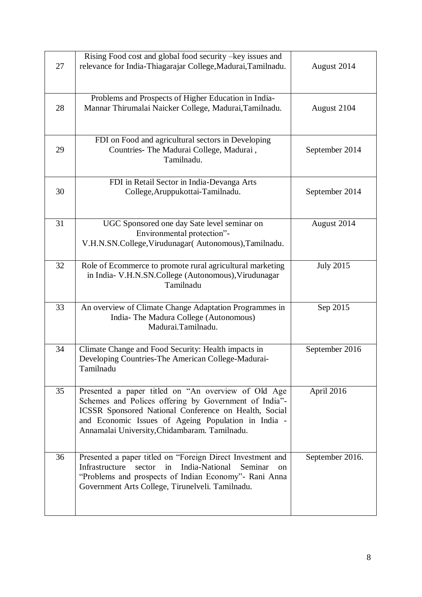| 27 | Rising Food cost and global food security – key issues and<br>relevance for India-Thiagarajar College, Madurai, Tamilnadu.                                                                                                                                                    | August 2014      |
|----|-------------------------------------------------------------------------------------------------------------------------------------------------------------------------------------------------------------------------------------------------------------------------------|------------------|
| 28 | Problems and Prospects of Higher Education in India-<br>Mannar Thirumalai Naicker College, Madurai, Tamilnadu.                                                                                                                                                                | August 2104      |
| 29 | FDI on Food and agricultural sectors in Developing<br>Countries- The Madurai College, Madurai,<br>Tamilnadu.                                                                                                                                                                  | September 2014   |
| 30 | FDI in Retail Sector in India-Devanga Arts<br>College, Aruppukottai-Tamilnadu.                                                                                                                                                                                                | September 2014   |
| 31 | UGC Sponsored one day Sate level seminar on<br>Environmental protection"-<br>V.H.N.SN.College, Virudunagar(Autonomous), Tamilnadu.                                                                                                                                            | August 2014      |
| 32 | Role of Ecommerce to promote rural agricultural marketing<br>in India- V.H.N.SN.College (Autonomous), Virudunagar<br>Tamilnadu                                                                                                                                                | <b>July 2015</b> |
| 33 | An overview of Climate Change Adaptation Programmes in<br>India- The Madura College (Autonomous)<br>Madurai.Tamilnadu.                                                                                                                                                        | Sep 2015         |
| 34 | Climate Change and Food Security: Health impacts in<br>Developing Countries-The American College-Madurai-<br>Tamilnadu                                                                                                                                                        | September 2016   |
| 35 | Presented a paper titled on "An overview of Old Age<br>Schemes and Polices offering by Government of India"-<br>ICSSR Sponsored National Conference on Health, Social<br>and Economic Issues of Ageing Population in India -<br>Annamalai University, Chidambaram. Tamilnadu. | April 2016       |
| 36 | Presented a paper titled on "Foreign Direct Investment and<br>Infrastructure<br>sector<br>in<br>India-National<br>Seminar<br><sub>on</sub><br>"Problems and prospects of Indian Economy"- Rani Anna<br>Government Arts College, Tirunelveli. Tamilnadu.                       | September 2016.  |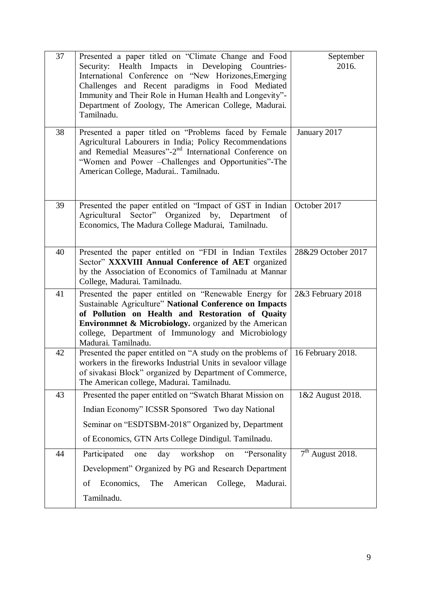| 37 | Presented a paper titled on "Climate Change and Food<br>Health Impacts in Developing Countries-<br>Security:<br>International Conference on "New Horizones, Emerging<br>Challenges and Recent paradigms in Food Mediated<br>Immunity and Their Role in Human Health and Longevity"-<br>Department of Zoology, The American College, Madurai.<br>Tamilnadu. | September<br>2016. |
|----|------------------------------------------------------------------------------------------------------------------------------------------------------------------------------------------------------------------------------------------------------------------------------------------------------------------------------------------------------------|--------------------|
| 38 | Presented a paper titled on "Problems faced by Female<br>Agricultural Labourers in India; Policy Recommendations<br>and Remedial Measures"-2 <sup>nd</sup> International Conference on<br>"Women and Power - Challenges and Opportunities"-The<br>American College, Madurai Tamilnadu.                                                                     | January 2017       |
| 39 | Presented the paper entitled on "Impact of GST in Indian<br>Agricultural Sector" Organized by, Department<br>of<br>Economics, The Madura College Madurai, Tamilnadu.                                                                                                                                                                                       | October 2017       |
| 40 | Presented the paper entitled on "FDI in Indian Textiles<br>Sector" XXXVIII Annual Conference of AET organized<br>by the Association of Economics of Tamilnadu at Mannar<br>College, Madurai. Tamilnadu.                                                                                                                                                    | 28&29 October 2017 |
| 41 | Presented the paper entitled on "Renewable Energy for<br>Sustainable Agriculture" National Conference on Impacts<br>of Pollution on Health and Restoration of Quaity<br>Environmnet & Microbiology. organized by the American<br>college, Department of Immunology and Microbiology<br>Madurai. Tamilnadu.                                                 | 2&3 February 2018  |
| 42 | Presented the paper entitled on "A study on the problems of<br>workers in the fireworks Industrial Units in sevaloor village<br>of sivakasi Block" organized by Department of Commerce,<br>The American college, Madurai. Tamilnadu.                                                                                                                       | 16 February 2018.  |
| 43 | Presented the paper entitled on "Swatch Bharat Mission on<br>Indian Economy" ICSSR Sponsored Two day National<br>Seminar on "ESDTSBM-2018" Organized by, Department<br>of Economics, GTN Arts College Dindigul. Tamilnadu.                                                                                                                                 | 1&2 August 2018.   |
| 44 | Participated<br>"Personality<br>day<br>workshop<br>one<br>on<br>Development" Organized by PG and Research Department<br>Economics,<br>The<br>American<br>College,<br>Madurai.<br>of<br>Tamilnadu.                                                                                                                                                          | $7th$ August 2018. |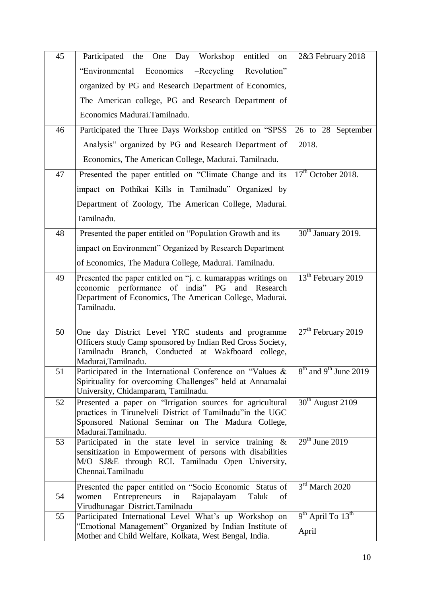| 45 | Participated the One Day Workshop<br>entitled<br>on                                                                                                                                                | 2&3 February 2018                         |
|----|----------------------------------------------------------------------------------------------------------------------------------------------------------------------------------------------------|-------------------------------------------|
|    | "Environmental Economics -Recycling Revolution"                                                                                                                                                    |                                           |
|    | organized by PG and Research Department of Economics,                                                                                                                                              |                                           |
|    | The American college, PG and Research Department of                                                                                                                                                |                                           |
|    | Economics Madurai.Tamilnadu.                                                                                                                                                                       |                                           |
| 46 | Participated the Three Days Workshop entitled on "SPSS"                                                                                                                                            | 26 to 28 September                        |
|    | Analysis" organized by PG and Research Department of                                                                                                                                               | 2018.                                     |
|    | Economics, The American College, Madurai. Tamilnadu.                                                                                                                                               |                                           |
| 47 | Presented the paper entitled on "Climate Change and its                                                                                                                                            | $17th$ October 2018.                      |
|    | impact on Pothikai Kills in Tamilnadu" Organized by                                                                                                                                                |                                           |
|    | Department of Zoology, The American College, Madurai.                                                                                                                                              |                                           |
|    | Tamilnadu.                                                                                                                                                                                         |                                           |
| 48 | Presented the paper entitled on "Population Growth and its                                                                                                                                         | $30th$ January 2019.                      |
|    | impact on Environment" Organized by Research Department                                                                                                                                            |                                           |
|    | of Economics, The Madura College, Madurai. Tamilnadu.                                                                                                                                              |                                           |
| 49 | Presented the paper entitled on "j. c. kumarappas writings on<br>economic performance of india" PG<br>and<br>Research<br>Department of Economics, The American College, Madurai.<br>Tamilnadu.     | $13th$ February 2019                      |
| 50 | One day District Level YRC students and programme<br>Officers study Camp sponsored by Indian Red Cross Society,<br>Tamilnadu Branch, Conducted at Wakfboard college,<br>Madurai, Tamilnadu.        | $27th$ February 2019                      |
| 51 | Participated in the International Conference on "Values &<br>Spirituality for overcoming Challenges" held at Annamalai<br>University, Chidamparam, Tamilnadu.                                      | $8th$ and 9 <sup>th</sup> June 2019       |
| 52 | Presented a paper on "Irrigation sources for agricultural<br>practices in Tirunelveli District of Tamilnadu" in the UGC<br>Sponsored National Seminar on The Madura College,<br>Madurai.Tamilnadu. | $30th$ August 2109                        |
| 53 | Participated in the state level in service training $\&$<br>sensitization in Empowerment of persons with disabilities<br>M/O SJ&E through RCI. Tamilnadu Open University,<br>Chennai.Tamilnadu     | $29th$ June 2019                          |
| 54 | Presented the paper entitled on "Socio Economic Status of<br>Taluk<br>Entrepreneurs<br>Rajapalayam<br>of<br>women<br>in<br>Virudhunagar District.Tamilnadu                                         | $3rd$ March 2020                          |
| 55 | Participated International Level What's up Workshop on                                                                                                                                             | 9 <sup>th</sup> April To 13 <sup>th</sup> |
|    | "Emotional Management" Organized by Indian Institute of<br>Mother and Child Welfare, Kolkata, West Bengal, India.                                                                                  | April                                     |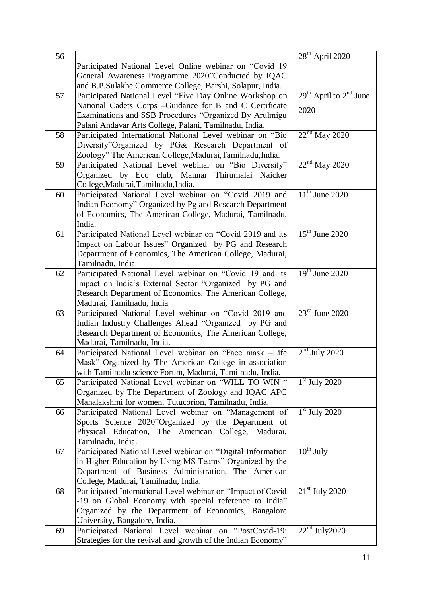| 56 |                                                                                                                   | $28th$ April 2020          |
|----|-------------------------------------------------------------------------------------------------------------------|----------------------------|
|    | Participated National Level Online webinar on "Covid 19                                                           |                            |
|    | General Awareness Programme 2020"Conducted by IQAC                                                                |                            |
|    | and B.P.Sulakhe Commerce College, Barshi, Solapur, India.                                                         |                            |
| 57 | Participated National Level "Five Day Online Workshop on                                                          | $29th$ April to $2nd$ June |
|    | National Cadets Corps - Guidance for B and C Certificate                                                          |                            |
|    | Examinations and SSB Procedures "Organized By Arulmigu                                                            | 2020                       |
|    | Palani Andavar Arts College, Palani, Tamilnadu, India.                                                            |                            |
| 58 | Participated International National Level webinar on "Bio                                                         | $22nd$ May 2020            |
|    | Diversity"Organized by PG& Research Department of                                                                 |                            |
|    | Zoology" The American College, Madurai, Tamilnadu, India.                                                         |                            |
| 59 | Participated National Level webinar on "Bio Diversity"                                                            | $22nd$ May 2020            |
|    | Organized by Eco club, Mannar Thirumalai Naicker                                                                  |                            |
|    | College, Madurai, Tamilnadu, India.                                                                               |                            |
| 60 | Participated National Level webinar on "Covid 2019 and                                                            | $11th$ June 2020           |
|    | Indian Economy" Organized by Pg and Research Department                                                           |                            |
|    | of Economics, The American College, Madurai, Tamilnadu,                                                           |                            |
|    | India.                                                                                                            |                            |
| 61 | Participated National Level webinar on "Covid 2019 and its                                                        | $15th$ June 2020           |
|    | Impact on Labour Issues" Organized by PG and Research                                                             |                            |
|    | Department of Economics, The American College, Madurai,                                                           |                            |
|    | Tamilnadu, India                                                                                                  |                            |
| 62 | Participated National Level webinar on "Covid 19 and its                                                          | $19th$ June 2020           |
|    | impact on India's External Sector "Organized by PG and                                                            |                            |
|    | Research Department of Economics, The American College,                                                           |                            |
|    | Madurai, Tamilnadu, India                                                                                         |                            |
| 63 | Participated National Level webinar on "Covid 2019 and                                                            | $23rd$ June 2020           |
|    | Indian Industry Challenges Ahead "Organized by PG and                                                             |                            |
|    | Research Department of Economics, The American College,<br>Madurai, Tamilnadu, India.                             |                            |
| 64 |                                                                                                                   | $2nd$ July 2020            |
|    | Participated National Level webinar on "Face mask -Life<br>Mask" Organized by The American College in association |                            |
|    | with Tamilnadu science Forum, Madurai, Tamilnadu, India.                                                          |                            |
| 65 | Participated National Level webinar on "WILL TO WIN "                                                             | $1st$ July 2020            |
|    | Organized by The Department of Zoology and IQAC APC                                                               |                            |
|    | Mahalakshmi for women, Tutucorion, Tamilnadu, India.                                                              |                            |
| 66 | Participated National Level webinar on "Management of                                                             | $1st$ July 2020            |
|    | Sports Science 2020"Organized by the Department of                                                                |                            |
|    | Physical Education, The American College, Madurai,                                                                |                            |
|    | Tamilnadu, India.                                                                                                 |                            |
| 67 | Participated National Level webinar on "Digital Information                                                       | $10^{th}$ July             |
|    | in Higher Education by Using MS Teams" Organized by the                                                           |                            |
|    | Department of Business Administration, The American                                                               |                            |
|    | College, Madurai, Tamilnadu, India.                                                                               |                            |
| 68 | Participated International Level webinar on "Impact of Covid                                                      | $21st$ July 2020           |
|    | -19 on Global Economy with special reference to India"                                                            |                            |
|    | Organized by the Department of Economics, Bangalore                                                               |                            |
|    | University, Bangalore, India.                                                                                     |                            |
| 69 | Participated National Level webinar on "PostCovid-19:                                                             | $22nd$ July 2020           |
|    | Strategies for the revival and growth of the Indian Economy"                                                      |                            |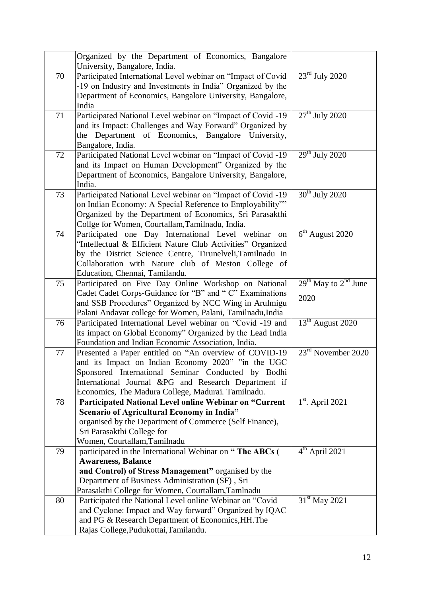|    | Organized by the Department of Economics, Bangalore<br>University, Bangalore, India.  |                               |
|----|---------------------------------------------------------------------------------------|-------------------------------|
| 70 | Participated International Level webinar on "Impact of Covid                          | $23rd$ July 2020              |
|    | -19 on Industry and Investments in India" Organized by the                            |                               |
|    | Department of Economics, Bangalore University, Bangalore,                             |                               |
|    | India                                                                                 |                               |
| 71 | Participated National Level webinar on "Impact of Covid -19                           | $27th$ July 2020              |
|    | and its Impact: Challenges and Way Forward" Organized by                              |                               |
|    | Department of Economics, Bangalore University,<br>the                                 |                               |
|    | Bangalore, India.                                                                     |                               |
| 72 | Participated National Level webinar on "Impact of Covid -19                           | $\overline{29^{th}$ July 2020 |
|    | and its Impact on Human Development" Organized by the                                 |                               |
|    | Department of Economics, Bangalore University, Bangalore,                             |                               |
|    | India.                                                                                |                               |
| 73 | Participated National Level webinar on "Impact of Covid -19                           | $30th$ July 2020              |
|    | on Indian Economy: A Special Reference to Employability""                             |                               |
|    | Organized by the Department of Economics, Sri Parasakthi                              |                               |
|    | Collge for Women, Courtallam, Tamilnadu, India.                                       |                               |
| 74 | Participated one Day International Level webinar<br>on                                | $6th$ August 2020             |
|    | "Intellectual & Efficient Nature Club Activities" Organized                           |                               |
|    | by the District Science Centre, Tirunelveli, Tamilnadu in                             |                               |
|    | Collaboration with Nature club of Meston College of<br>Education, Chennai, Tamilandu. |                               |
| 75 | Participated on Five Day Online Workshop on National                                  | $29th$ May to $2nd$ June      |
|    | Cadet Cadet Corps-Guidance for "B" and " C" Examinations                              |                               |
|    | and SSB Procedures" Organized by NCC Wing in Arulmigu                                 | 2020                          |
|    | Palani Andavar college for Women, Palani, Tamilnadu, India                            |                               |
| 76 | Participated International Level webinar on "Covid -19 and                            | $13th$ August 2020            |
|    | its impact on Global Economy" Organized by the Lead India                             |                               |
|    | Foundation and Indian Economic Association, India.                                    |                               |
| 77 | Presented a Paper entitled on "An overview of COVID-19                                | $23rd$ November 2020          |
|    | and its Impact on Indian Economy 2020" "in the UGC                                    |                               |
|    | Sponsored International Seminar Conducted by Bodhi                                    |                               |
|    | International Journal &PG and Research Department if                                  |                               |
|    | Economics, The Madura College, Madurai. Tamilnadu.                                    |                               |
| 78 | Participated National Level online Webinar on "Current                                | $1st$ . April 2021            |
|    | <b>Scenario of Agricultural Economy in India"</b>                                     |                               |
|    | organised by the Department of Commerce (Self Finance),                               |                               |
|    | Sri Parasakthi College for<br>Women, Courtallam, Tamilnadu                            |                               |
| 79 | participated in the International Webinar on "The ABCs (                              | $4th$ April 2021              |
|    | <b>Awareness, Balance</b>                                                             |                               |
|    | and Control) of Stress Management" organised by the                                   |                               |
|    | Department of Business Administration (SF), Sri                                       |                               |
|    | Parasakthi College for Women, Courtallam, Tamlnadu                                    |                               |
| 80 | Participated the National Level online Webinar on "Covid                              | $31st$ May 2021               |
|    | and Cyclone: Impact and Way forward" Organized by IQAC                                |                               |
|    | and PG & Research Department of Economics, HH. The                                    |                               |
|    | Rajas College, Pudukottai, Tamilandu.                                                 |                               |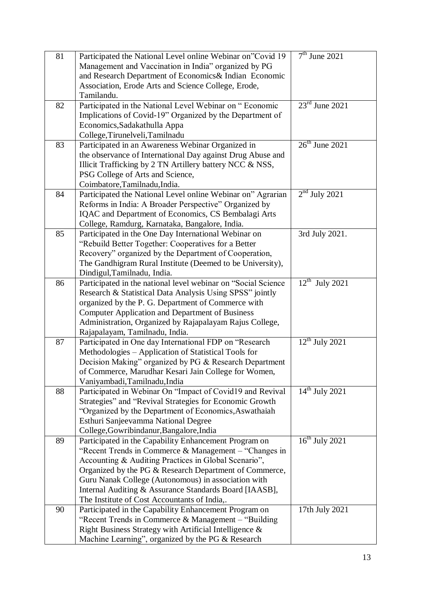| 81 | Participated the National Level online Webinar on"Covid 19    | $7th$ June 2021                       |
|----|---------------------------------------------------------------|---------------------------------------|
|    | Management and Vaccination in India" organized by PG          |                                       |
|    | and Research Department of Economics& Indian Economic         |                                       |
|    | Association, Erode Arts and Science College, Erode,           |                                       |
|    | Tamilandu.                                                    |                                       |
| 82 | Participated in the National Level Webinar on "Economic       | $23rd$ June 2021                      |
|    | Implications of Covid-19" Organized by the Department of      |                                       |
|    | Economics, Sadakathulla Appa                                  |                                       |
|    | College, Tirunelveli, Tamilnadu                               |                                       |
| 83 | Participated in an Awareness Webinar Organized in             | $26th$ June 2021                      |
|    | the observance of International Day against Drug Abuse and    |                                       |
|    | Illicit Trafficking by 2 TN Artillery battery NCC & NSS,      |                                       |
|    | PSG College of Arts and Science,                              |                                       |
|    | Coimbatore, Tamilnadu, India.                                 |                                       |
| 84 | Participated the National Level online Webinar on" Agrarian   | $2nd$ July 2021                       |
|    | Reforms in India: A Broader Perspective" Organized by         |                                       |
|    | IQAC and Department of Economics, CS Bembalagi Arts           |                                       |
|    | College, Ramdurg, Karnataka, Bangalore, India.                |                                       |
| 85 | Participated in the One Day International Webinar on          | 3rd July 2021.                        |
|    | "Rebuild Better Together: Cooperatives for a Better           |                                       |
|    | Recovery" organized by the Department of Cooperation,         |                                       |
|    | The Gandhigram Rural Institute (Deemed to be University),     |                                       |
|    | Dindigul, Tamilnadu, India.                                   |                                       |
| 86 | Participated in the national level webinar on "Social Science | $12^{\text{th}}$<br><b>July 2021</b>  |
|    | Research & Statistical Data Analysis Using SPSS" jointly      |                                       |
|    | organized by the P. G. Department of Commerce with            |                                       |
|    | <b>Computer Application and Department of Business</b>        |                                       |
|    | Administration, Organized by Rajapalayam Rajus College,       |                                       |
|    | Rajapalayam, Tamilnadu, India.                                |                                       |
| 87 | Participated in One day International FDP on "Research        | $12^{\text{th}}$ July 2021            |
|    | Methodologies – Application of Statistical Tools for          |                                       |
|    | Decision Making" organized by PG & Research Department        |                                       |
|    | of Commerce, Marudhar Kesari Jain College for Women,          |                                       |
|    | Vaniyambadi, Tamilnadu, India                                 |                                       |
| 88 | Participated in Webinar On "Impact of Covid19 and Revival     | $14^{th}$ July 2021                   |
|    | Strategies" and "Revival Strategies for Economic Growth       |                                       |
|    | "Organized by the Department of Economics, Aswathaiah         |                                       |
|    | Esthuri Sanjeevamma National Degree                           |                                       |
|    | College, Gowribindanur, Bangalore, India                      |                                       |
| 89 | Participated in the Capability Enhancement Program on         | $\overline{16}^{\text{th}}$ July 2021 |
|    | "Recent Trends in Commerce & Management $-$ "Changes in       |                                       |
|    | Accounting & Auditing Practices in Global Scenario",          |                                       |
|    | Organized by the PG & Research Department of Commerce,        |                                       |
|    | Guru Nanak College (Autonomous) in association with           |                                       |
|    | Internal Auditing & Assurance Standards Board [IAASB],        |                                       |
|    | The Institute of Cost Accountants of India,.                  |                                       |
| 90 | Participated in the Capability Enhancement Program on         | 17th July 2021                        |
|    | "Recent Trends in Commerce & Management $-$ "Building"        |                                       |
|    | Right Business Strategy with Artificial Intelligence &        |                                       |
|    | Machine Learning", organized by the PG & Research             |                                       |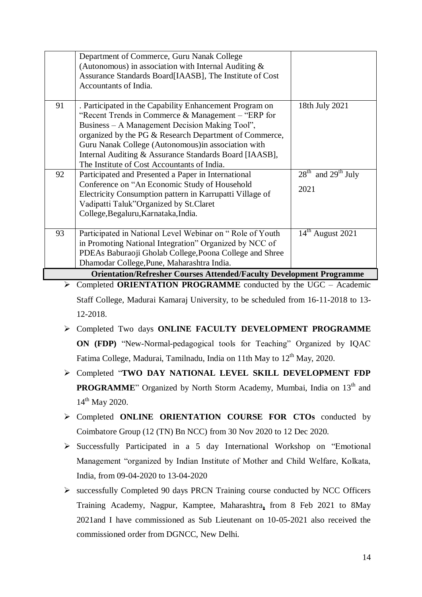|    | Department of Commerce, Guru Nanak College                                  |                        |
|----|-----------------------------------------------------------------------------|------------------------|
|    | (Autonomous) in association with Internal Auditing $\&$                     |                        |
|    | Assurance Standards Board[IAASB], The Institute of Cost                     |                        |
|    | Accountants of India.                                                       |                        |
|    |                                                                             |                        |
| 91 | . Participated in the Capability Enhancement Program on                     | 18th July 2021         |
|    | "Recent Trends in Commerce $&$ Management – "ERP for                        |                        |
|    | Business – A Management Decision Making Tool",                              |                        |
|    | organized by the PG & Research Department of Commerce,                      |                        |
|    | Guru Nanak College (Autonomous) in association with                         |                        |
|    | Internal Auditing & Assurance Standards Board [IAASB],                      |                        |
|    | The Institute of Cost Accountants of India.                                 |                        |
| 92 | Participated and Presented a Paper in International                         | $28th$ and $29th$ July |
|    | Conference on "An Economic Study of Household                               |                        |
|    | Electricity Consumption pattern in Karrupatti Village of                    | 2021                   |
|    | Vadipatti Taluk"Organized by St.Claret                                      |                        |
|    | College, Begaluru, Karnataka, India.                                        |                        |
|    |                                                                             |                        |
| 93 | Participated in National Level Webinar on "Role of Youth                    | $14th$ August 2021     |
|    | in Promoting National Integration" Organized by NCC of                      |                        |
|    | PDEAs Baburaoji Gholab College, Poona College and Shree                     |                        |
|    | Dhamodar College, Pune, Maharashtra India.                                  |                        |
|    | <b>Orientation/Refresher Courses Attended/Faculty Development Programme</b> |                        |
|    |                                                                             |                        |

 Completed **ORIENTATION PROGRAMME** conducted by the UGC – Academic Staff College, Madurai Kamaraj University, to be scheduled from 16-11-2018 to 13- 12-2018.

- Completed Two days **ONLINE FACULTY DEVELOPMENT PROGRAMME ON (FDP)** "New-Normal-pedagogical tools for Teaching" Organized by IQAC Fatima College, Madurai, Tamilnadu, India on 11th May to  $12<sup>th</sup>$  May, 2020.
- Completed "**TWO DAY NATIONAL LEVEL SKILL DEVELOPMENT FDP PROGRAMME**" Organized by North Storm Academy, Mumbai, India on 13<sup>th</sup> and 14<sup>th</sup> May 2020.
- Completed **ONLINE ORIENTATION COURSE FOR CTOs** conducted by Coimbatore Group (12 (TN) Bn NCC) from 30 Nov 2020 to 12 Dec 2020.
- $\triangleright$  Successfully Participated in a 5 day International Workshop on "Emotional" Management "organized by Indian Institute of Mother and Child Welfare, Kolkata, India, from 09-04-2020 to 13-04-2020
- successfully Completed 90 days PRCN Training course conducted by NCC Officers Training Academy, Nagpur, Kamptee, Maharashtra**,** from 8 Feb 2021 to 8May 2021and I have commissioned as Sub Lieutenant on 10-05-2021 also received the commissioned order from DGNCC, New Delhi.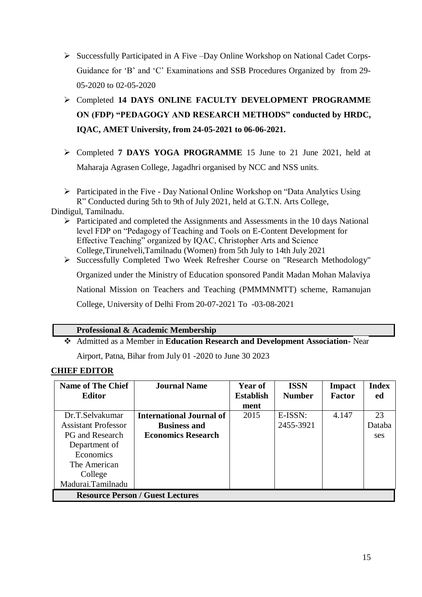- $\triangleright$  Successfully Participated in A Five –Day Online Workshop on National Cadet Corps-Guidance for "B" and "C" Examinations and SSB Procedures Organized by from 29- 05-2020 to 02-05-2020
- Completed **14 DAYS ONLINE FACULTY DEVELOPMENT PROGRAMME ON (FDP) "PEDAGOGY AND RESEARCH METHODS" conducted by HRDC, IQAC, AMET University, from 24-05-2021 to 06-06-2021.**
- Completed **7 DAYS YOGA PROGRAMME** 15 June to 21 June 2021, held at Maharaja Agrasen College, Jagadhri organised by NCC and NSS units.

 $\triangleright$  Participated in the Five - Day National Online Workshop on "Data Analytics Using R" Conducted during 5th to 9th of July 2021, held at G.T.N. Arts College,

Dindigul, Tamilnadu.

 $\triangleright$  Participated and completed the Assignments and Assessments in the 10 days National level FDP on "Pedagogy of Teaching and Tools on E-Content Development for Effective Teaching" organized by IQAC, Christopher Arts and Science College,Tirunelveli,Tamilnadu (Women) from 5th July to 14th July 2021

Successfully Completed Two Week Refresher Course on "Research Methodology"

Organized under the Ministry of Education sponsored Pandit Madan Mohan Malaviya

National Mission on Teachers and Teaching (PMMMNMTT) scheme, Ramanujan

College, University of Delhi From 20-07-2021 To -03-08-2021

### **Professional & Academic Membership**

 Admitted as a Member in **Education Research and Development Association-** [Near](https://www.google.co.in/maps/dir/25.6059783,85.0588915)  [Airport, Patna, Bihar](https://www.google.co.in/maps/dir/25.6059783,85.0588915) from July 01 -2020 to June 30 2023

## **CHIEF EDITOR**

| <b>Name of The Chief</b>                | <b>Journal Name</b>             | Year of          | <b>ISSN</b>   | <b>Impact</b> | <b>Index</b> |
|-----------------------------------------|---------------------------------|------------------|---------------|---------------|--------------|
| <b>Editor</b>                           |                                 | <b>Establish</b> | <b>Number</b> | <b>Factor</b> | ed           |
|                                         |                                 | ment             |               |               |              |
| Dr.T.Selvakumar                         | <b>International Journal of</b> | 2015             | $E$ -ISSN:    | 4.147         | 23           |
| <b>Assistant Professor</b>              | <b>Business and</b>             |                  | 2455-3921     |               | Databa       |
| <b>PG</b> and Research                  | <b>Economics Research</b>       |                  |               |               | ses          |
| Department of                           |                                 |                  |               |               |              |
| Economics                               |                                 |                  |               |               |              |
| The American                            |                                 |                  |               |               |              |
| College                                 |                                 |                  |               |               |              |
| Madurai.Tamilnadu                       |                                 |                  |               |               |              |
| <b>Resource Person / Guest Lectures</b> |                                 |                  |               |               |              |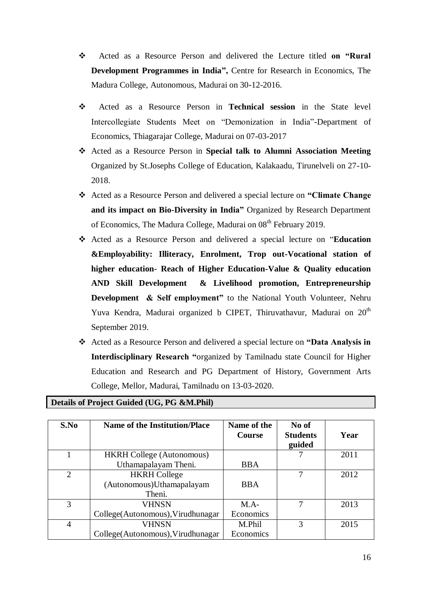- Acted as a Resource Person and delivered the Lecture titled **on "Rural Development Programmes in India",** Centre for Research in Economics, The Madura College, Autonomous, Madurai on 30-12-2016.
- Acted as a Resource Person in **Technical session** in the State level Intercollegiate Students Meet on "Demonization in India"-Department of Economics, Thiagarajar College, Madurai on 07-03-2017
- Acted as a Resource Person in **Special talk to Alumni Association Meeting** Organized by St.Josephs College of Education, Kalakaadu, Tirunelveli on 27-10- 2018.
- Acted as a Resource Person and delivered a special lecture on **"Climate Change and its impact on Bio-Diversity in India"** Organized by Research Department of Economics, The Madura College, Madurai on 08<sup>th</sup> February 2019.
- Acted as a Resource Person and delivered a special lecture on "**Education &Employability: Illiteracy, Enrolment, Trop out-Vocational station of higher education- Reach of Higher Education-Value & Quality education AND Skill Development & Livelihood promotion, Entrepreneurship Development & Self employment"** to the National Youth Volunteer, Nehru Yuva Kendra, Madurai organized b CIPET, Thiruvathavur, Madurai on  $20<sup>th</sup>$ September 2019.
- Acted as a Resource Person and delivered a special lecture on **"Data Analysis in Interdisciplinary Research "**organized by Tamilnadu state Council for Higher Education and Research and PG Department of History, Government Arts College, Mellor, Madurai, Tamilnadu on 13-03-2020.

| S.No           | <b>Name of the Institution/Place</b> | Name of the<br>Course | No of<br><b>Students</b><br>guided | Year |
|----------------|--------------------------------------|-----------------------|------------------------------------|------|
|                | <b>HKRH College (Autonomous)</b>     |                       |                                    | 2011 |
|                | Uthamapalayam Theni.                 | <b>BBA</b>            |                                    |      |
| 2              | <b>HKRH</b> College                  |                       | 7                                  | 2012 |
|                | (Autonomous)Uthamapalayam            | <b>BBA</b>            |                                    |      |
|                | Theni.                               |                       |                                    |      |
| 3              | VHNSN                                | $M.A-$                | 7                                  | 2013 |
|                | College (Autonomous), Virudhunagar   | Economics             |                                    |      |
| $\overline{4}$ | VHNSN                                | M.Phil                | 3                                  | 2015 |
|                | College (Autonomous), Virudhunagar   | Economics             |                                    |      |

### **Details of Project Guided (UG, PG &M.Phil)**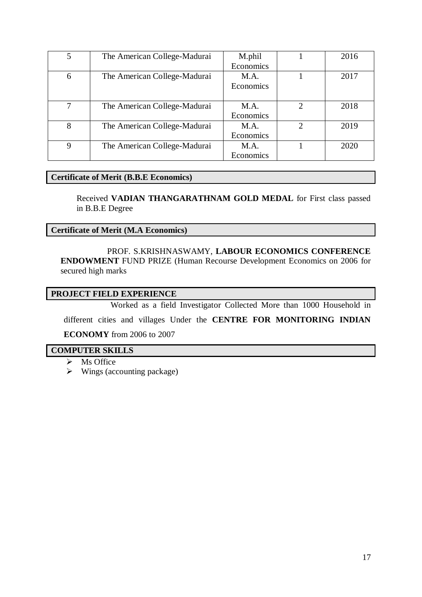| 5 | The American College-Madurai | M.phil    |               | 2016 |
|---|------------------------------|-----------|---------------|------|
|   |                              | Economics |               |      |
| 6 | The American College-Madurai | M.A.      |               | 2017 |
|   |                              | Economics |               |      |
|   |                              |           |               |      |
| 7 | The American College-Madurai | M.A.      | $\mathcal{D}$ | 2018 |
|   |                              | Economics |               |      |
| 8 | The American College-Madurai | M.A.      | $\mathcal{D}$ | 2019 |
|   |                              | Economics |               |      |
| 9 | The American College-Madurai | M.A.      |               | 2020 |
|   |                              | Economics |               |      |

### **Certificate of Merit (B.B.E Economics)**

Received **VADIAN THANGARATHNAM GOLD MEDAL** for First class passed in B.B.E Degree

#### **Certificate of Merit (M.A Economics)**

 PROF. S.KRISHNASWAMY, **LABOUR ECONOMICS CONFERENCE ENDOWMENT** FUND PRIZE (Human Recourse Development Economics on 2006 for secured high marks

#### **PROJECT FIELD EXPERIENCE**

Worked as a field Investigator Collected More than 1000 Household in

different cities and villages Under the **CENTRE FOR MONITORING INDIAN**

#### **ECONOMY** from 2006 to 2007

#### **COMPUTER SKILLS**

- $\triangleright$  Ms Office
- $\triangleright$  Wings (accounting package)